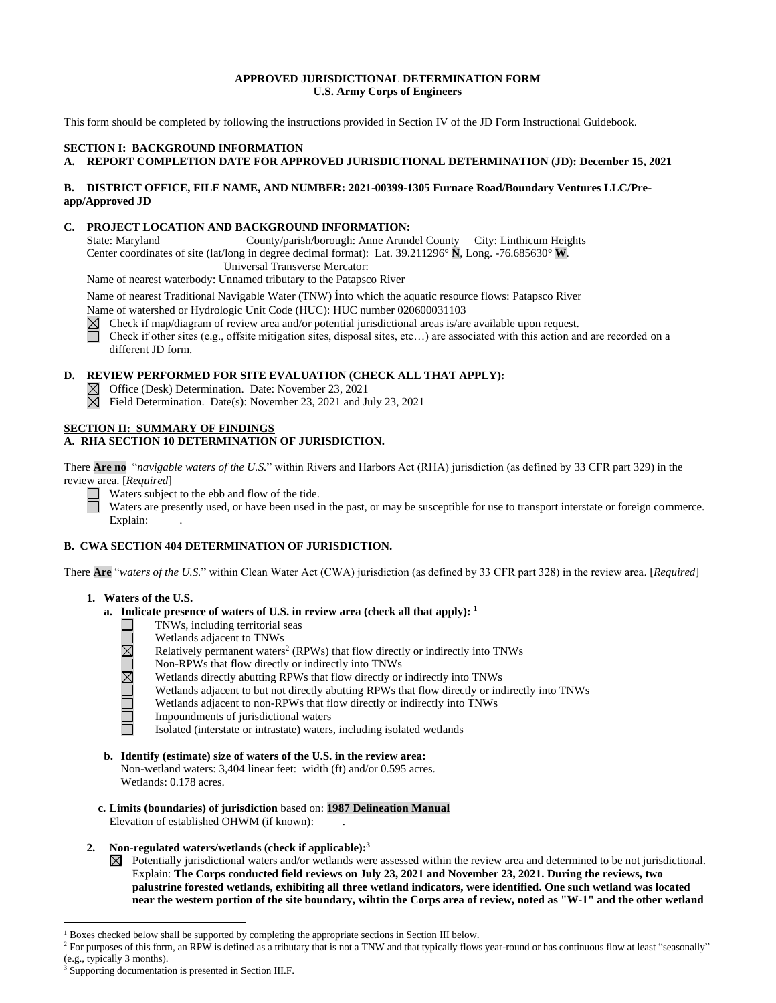## **APPROVED JURISDICTIONAL DETERMINATION FORM U.S. Army Corps of Engineers**

This form should be completed by following the instructions provided in Section IV of the JD Form Instructional Guidebook.

# **SECTION I: BACKGROUND INFORMATION**

# **A. REPORT COMPLETION DATE FOR APPROVED JURISDICTIONAL DETERMINATION (JD): December 15, 2021**

# **B. DISTRICT OFFICE, FILE NAME, AND NUMBER: 2021-00399-1305 Furnace Road/Boundary Ventures LLC/Preapp/Approved JD**

# **C. PROJECT LOCATION AND BACKGROUND INFORMATION:**

State: Maryland County/parish/borough: Anne Arundel County City: Linthicum Heights Center coordinates of site (lat/long in degree decimal format): Lat. 39.211296° **N**, Long. -76.685630° **W**. Universal Transverse Mercator:

Name of nearest waterbody: Unnamed tributary to the Patapsco River

Name of nearest Traditional Navigable Water (TNW) into which the aquatic resource flows: Patapsco River

Name of watershed or Hydrologic Unit Code (HUC): HUC number 020600031103

 $\boxtimes$  Check if map/diagram of review area and/or potential jurisdictional areas is/are available upon request.

Check if other sites (e.g., offsite mitigation sites, disposal sites, etc...) are associated with this action and are recorded on a different JD form.

# **D. REVIEW PERFORMED FOR SITE EVALUATION (CHECK ALL THAT APPLY):**

- Office (Desk) Determination. Date: November 23, 2021
- $\boxtimes$  Field Determination. Date(s): November 23, 2021 and July 23, 2021

## **SECTION II: SUMMARY OF FINDINGS**

## **A. RHA SECTION 10 DETERMINATION OF JURISDICTION.**

There **Are no** "*navigable waters of the U.S.*" within Rivers and Harbors Act (RHA) jurisdiction (as defined by 33 CFR part 329) in the review area. [*Required*]

Waters subject to the ebb and flow of the tide.

Waters are presently used, or have been used in the past, or may be susceptible for use to transport interstate or foreign commerce. Explain:

# **B. CWA SECTION 404 DETERMINATION OF JURISDICTION.**

There **Are** "*waters of the U.S.*" within Clean Water Act (CWA) jurisdiction (as defined by 33 CFR part 328) in the review area. [*Required*]

#### **1. Waters of the U.S.**

- **a. Indicate presence of waters of U.S. in review area (check all that apply): 1**
	- TNWs, including territorial seas
	- <u> UNUMUMU</u> Wetlands adjacent to TNWs
		- Relatively permanent waters<sup>2</sup> (RPWs) that flow directly or indirectly into TNWs
		- Non-RPWs that flow directly or indirectly into TNWs
		- Wetlands directly abutting RPWs that flow directly or indirectly into TNWs
		- Wetlands adjacent to but not directly abutting RPWs that flow directly or indirectly into TNWs
		- Wetlands adjacent to non-RPWs that flow directly or indirectly into TNWs
		- Impoundments of jurisdictional waters
		- Isolated (interstate or intrastate) waters, including isolated wetlands
- **b. Identify (estimate) size of waters of the U.S. in the review area:** Non-wetland waters: 3,404 linear feet: width (ft) and/or 0.595 acres. Wetlands: 0.178 acres.
- **c. Limits (boundaries) of jurisdiction** based on: **1987 Delineation Manual** Elevation of established OHWM (if known):
- **2. Non-regulated waters/wetlands (check if applicable): 3**
	- $\boxtimes$  Potentially jurisdictional waters and/or wetlands were assessed within the review area and determined to be not jurisdictional. Explain: **The Corps conducted field reviews on July 23, 2021 and November 23, 2021. During the reviews, two palustrine forested wetlands, exhibiting all three wetland indicators, were identified. One such wetland was located near the western portion of the site boundary, wihtin the Corps area of review, noted as "W-1" and the other wetland**

 $<sup>1</sup>$  Boxes checked below shall be supported by completing the appropriate sections in Section III below.</sup>

<sup>&</sup>lt;sup>2</sup> For purposes of this form, an RPW is defined as a tributary that is not a TNW and that typically flows year-round or has continuous flow at least "seasonally" (e.g., typically 3 months).

Supporting documentation is presented in Section III.F.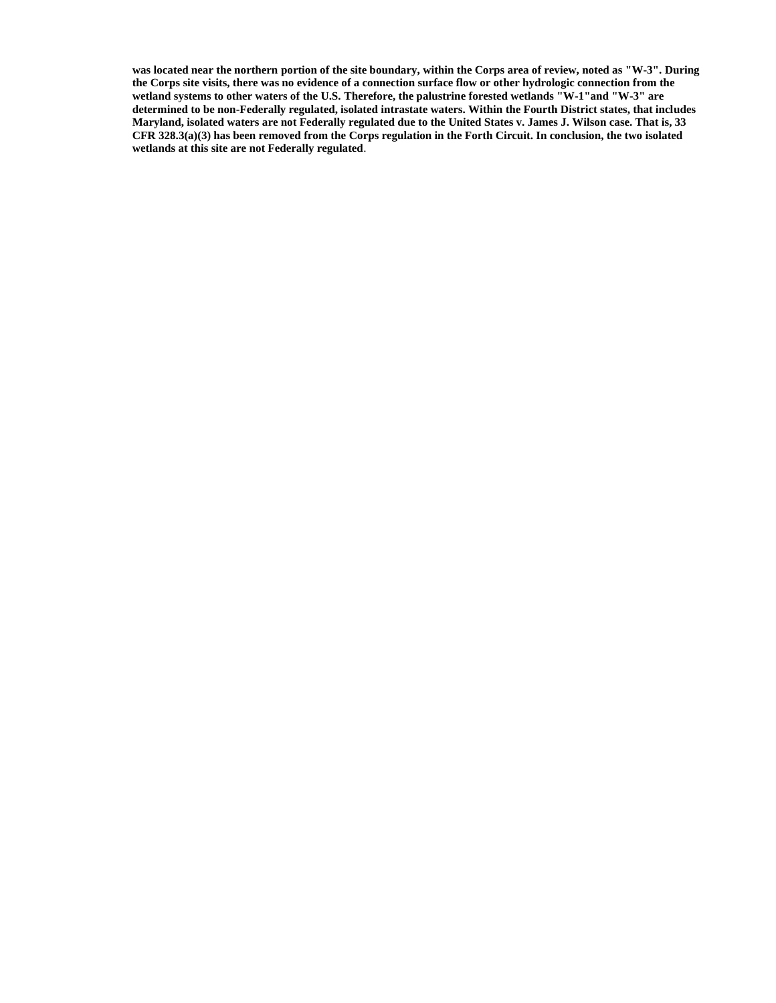**was located near the northern portion of the site boundary, within the Corps area of review, noted as "W-3". During the Corps site visits, there was no evidence of a connection surface flow or other hydrologic connection from the wetland systems to other waters of the U.S. Therefore, the palustrine forested wetlands "W-1"and "W-3" are determined to be non-Federally regulated, isolated intrastate waters. Within the Fourth District states, that includes Maryland, isolated waters are not Federally regulated due to the United States v. James J. Wilson case. That is, 33 CFR 328.3(a)(3) has been removed from the Corps regulation in the Forth Circuit. In conclusion, the two isolated wetlands at this site are not Federally regulated**.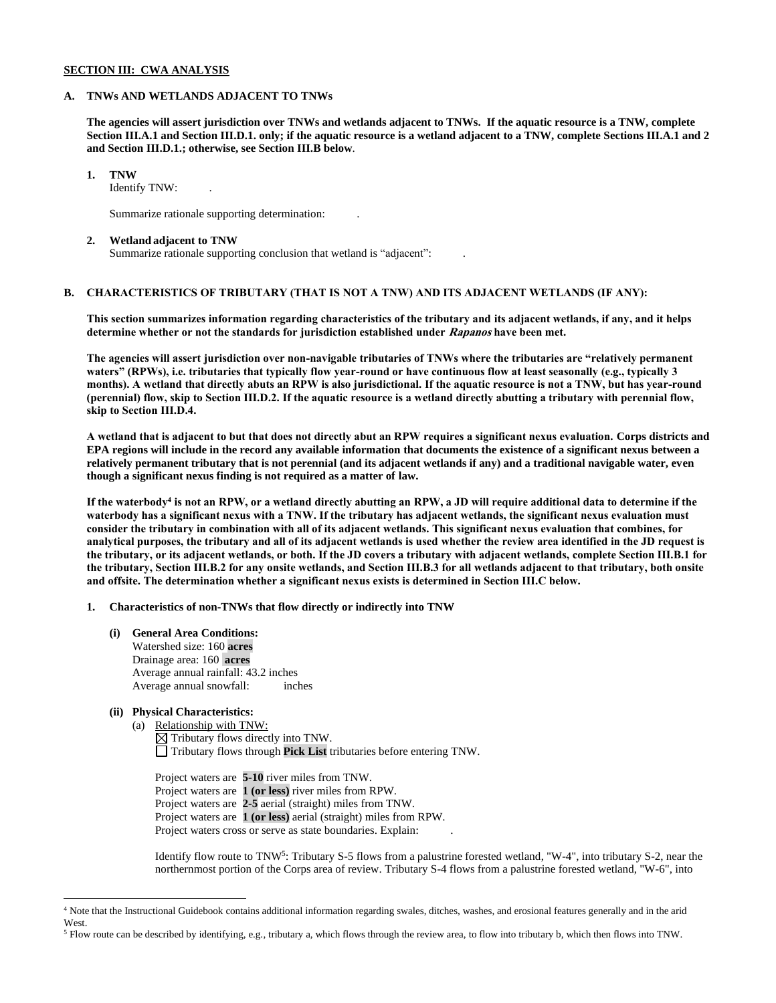## **SECTION III: CWA ANALYSIS**

#### **A. TNWs AND WETLANDS ADJACENT TO TNWs**

**The agencies will assert jurisdiction over TNWs and wetlands adjacent to TNWs. If the aquatic resource is a TNW, complete Section III.A.1 and Section III.D.1. only; if the aquatic resource is a wetland adjacent to a TNW, complete Sections III.A.1 and 2 and Section III.D.1.; otherwise, see Section III.B below**.

**1. TNW** 

Identify TNW: .

Summarize rationale supporting determination: .

#### **2. Wetland adjacent to TNW**

Summarize rationale supporting conclusion that wetland is "adjacent": .

# **B. CHARACTERISTICS OF TRIBUTARY (THAT IS NOT A TNW) AND ITS ADJACENT WETLANDS (IF ANY):**

**This section summarizes information regarding characteristics of the tributary and its adjacent wetlands, if any, and it helps determine whether or not the standards for jurisdiction established under Rapanos have been met.** 

**The agencies will assert jurisdiction over non-navigable tributaries of TNWs where the tributaries are "relatively permanent waters" (RPWs), i.e. tributaries that typically flow year-round or have continuous flow at least seasonally (e.g., typically 3 months). A wetland that directly abuts an RPW is also jurisdictional. If the aquatic resource is not a TNW, but has year-round (perennial) flow, skip to Section III.D.2. If the aquatic resource is a wetland directly abutting a tributary with perennial flow, skip to Section III.D.4.**

**A wetland that is adjacent to but that does not directly abut an RPW requires a significant nexus evaluation. Corps districts and EPA regions will include in the record any available information that documents the existence of a significant nexus between a relatively permanent tributary that is not perennial (and its adjacent wetlands if any) and a traditional navigable water, even though a significant nexus finding is not required as a matter of law.**

**If the waterbody 4 is not an RPW, or a wetland directly abutting an RPW, a JD will require additional data to determine if the waterbody has a significant nexus with a TNW. If the tributary has adjacent wetlands, the significant nexus evaluation must consider the tributary in combination with all of its adjacent wetlands. This significant nexus evaluation that combines, for analytical purposes, the tributary and all of its adjacent wetlands is used whether the review area identified in the JD request is the tributary, or its adjacent wetlands, or both. If the JD covers a tributary with adjacent wetlands, complete Section III.B.1 for the tributary, Section III.B.2 for any onsite wetlands, and Section III.B.3 for all wetlands adjacent to that tributary, both onsite and offsite. The determination whether a significant nexus exists is determined in Section III.C below.**

**1. Characteristics of non-TNWs that flow directly or indirectly into TNW**

**(i) General Area Conditions:** Watershed size: 160 **acres** Drainage area: 160 **acres** Average annual rainfall: 43.2 inches Average annual snowfall: inches

# **(ii) Physical Characteristics:**

(a) Relationship with TNW:  $\boxtimes$  Tributary flows directly into TNW. Tributary flows through **Pick List** tributaries before entering TNW.

Project waters are **5-10** river miles from TNW. Project waters are **1 (or less)** river miles from RPW. Project waters are **2-5** aerial (straight) miles from TNW. Project waters are **1 (or less)** aerial (straight) miles from RPW. Project waters cross or serve as state boundaries. Explain:

Identify flow route to TNW<sup>5</sup>: Tributary S-5 flows from a palustrine forested wetland, "W-4", into tributary S-2, near the northernmost portion of the Corps area of review. Tributary S-4 flows from a palustrine forested wetland, "W-6", into

<sup>4</sup> Note that the Instructional Guidebook contains additional information regarding swales, ditches, washes, and erosional features generally and in the arid West.

<sup>5</sup> Flow route can be described by identifying, e.g., tributary a, which flows through the review area, to flow into tributary b, which then flows into TNW.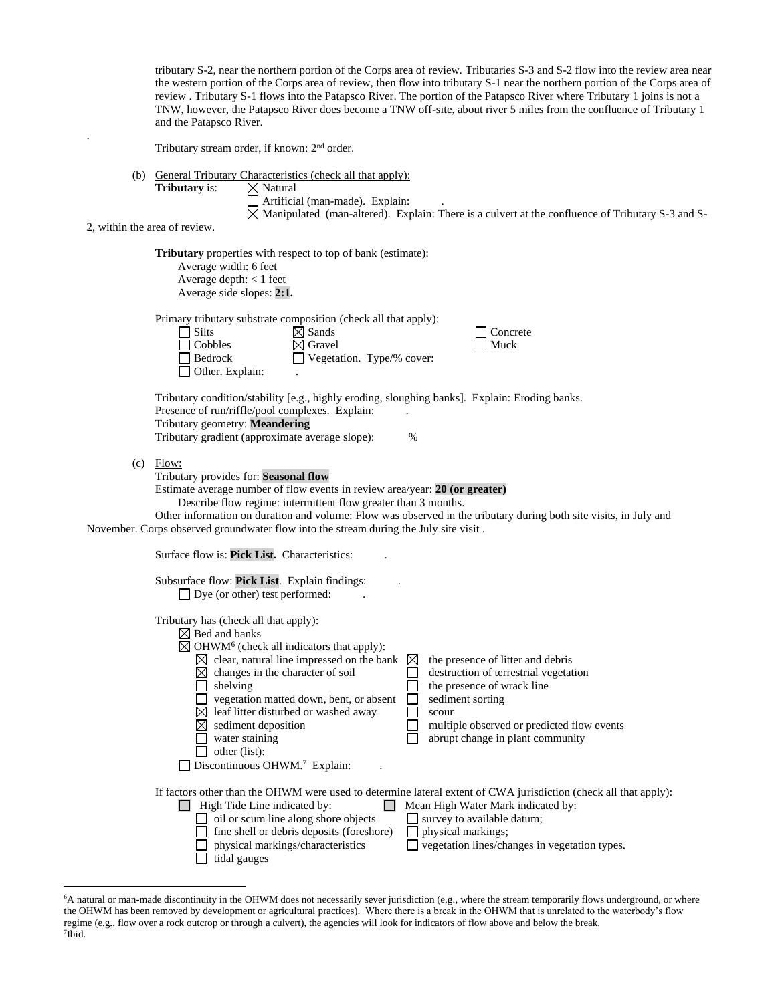tributary S-2, near the northern portion of the Corps area of review. Tributaries S-3 and S-2 flow into the review area near the western portion of the Corps area of review, then flow into tributary S-1 near the northern portion of the Corps area of review . Tributary S-1 flows into the Patapsco River. The portion of the Patapsco River where Tributary 1 joins is not a TNW, however, the Patapsco River does become a TNW off-site, about river 5 miles from the confluence of Tributary 1 and the Patapsco River.

Tributary stream order, if known: 2<sup>nd</sup> order.

(b) General Tributary Characteristics (check all that apply):

| <b>Tributary</b> is: |  |
|----------------------|--|
|----------------------|--|

**⊠** Natural Artificial (man-made). Explain: .

 $\boxtimes$  Manipulated (man-altered). Explain: There is a culvert at the confluence of Tributary S-3 and S-

2, within the area of review.

.

**Tributary** properties with respect to top of bank (estimate): Average width: 6 feet Average depth: < 1 feet Average side slopes: **2:1.**  Primary tributary substrate composition (check all that apply):<br>  $\Box$  Silts  $\boxtimes$  Sands Concrete  $\Box$  Cobbles  $\Box$  Gravel  $\Box$  Muck Bedrock Vegetation. Type/% cover:  $\Box$  Other. Explain: Tributary condition/stability [e.g., highly eroding, sloughing banks]. Explain: Eroding banks. Presence of run/riffle/pool complexes. Explain: Tributary geometry: **Meandering** Tributary gradient (approximate average slope): %  $(c)$  Flow: Tributary provides for: **Seasonal flow** Estimate average number of flow events in review area/year: **20 (or greater)** Describe flow regime: intermittent flow greater than 3 months. Other information on duration and volume: Flow was observed in the tributary during both site visits, in July and November. Corps observed groundwater flow into the stream during the July site visit . Surface flow is: **Pick List.** Characteristics: . Subsurface flow: **Pick List**. Explain findings: .  $\Box$  Dye (or other) test performed: Tributary has (check all that apply):  $\boxtimes$  Bed and banks OHWM<sup>6</sup> (check all indicators that apply):  $\boxtimes$  clear, natural line impressed on the bank  $\boxtimes$  the presence of litter and debris  $\boxtimes$  changes in the character of soil destruction of terrestrial vegetation  $\Box$  shelving the presence of wrack line  $\Box$  vegetation matted down, bent, or absent  $\Box$  sediment sorting  $\boxtimes$  leaf litter disturbed or washed away  $\qquad \qquad \square$  scour  $\boxtimes$  sediment deposition  $\boxtimes$  sediment deposition multiple observed or predicted flow events water staining abrupt change in plant community  $\Box$  other (list): Discontinuous OHWM.<sup>7</sup> Explain: . If factors other than the OHWM were used to determine lateral extent of CWA jurisdiction (check all that apply):  $\Box$  High Tide Line indicated by:  $\Box$  Mean High Water Mark indicated by:  $\Box$  oil or scum line along shore objects  $\Box$  survey to available datum;  $\Box$  fine shell or debris deposits (foreshore)  $\Box$  physical markings;

 $\Box$  tidal gauges

physical markings/characteristics vegetation lines/changes in vegetation types.

<sup>&</sup>lt;sup>6</sup>A natural or man-made discontinuity in the OHWM does not necessarily sever jurisdiction (e.g., where the stream temporarily flows underground, or where the OHWM has been removed by development or agricultural practices). Where there is a break in the OHWM that is unrelated to the waterbody's flow regime (e.g., flow over a rock outcrop or through a culvert), the agencies will look for indicators of flow above and below the break. 7 Ibid.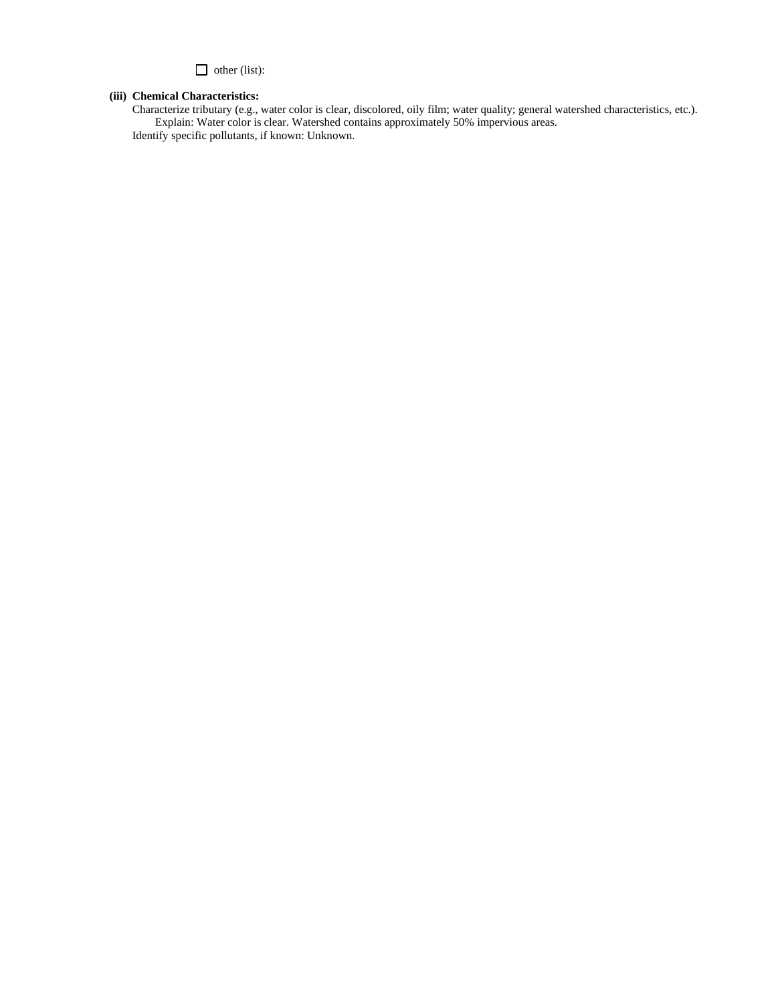other (list):

# **(iii) Chemical Characteristics:**

Characterize tributary (e.g., water color is clear, discolored, oily film; water quality; general watershed characteristics, etc.). Explain: Water color is clear. Watershed contains approximately 50% impervious areas. Identify specific pollutants, if known: Unknown.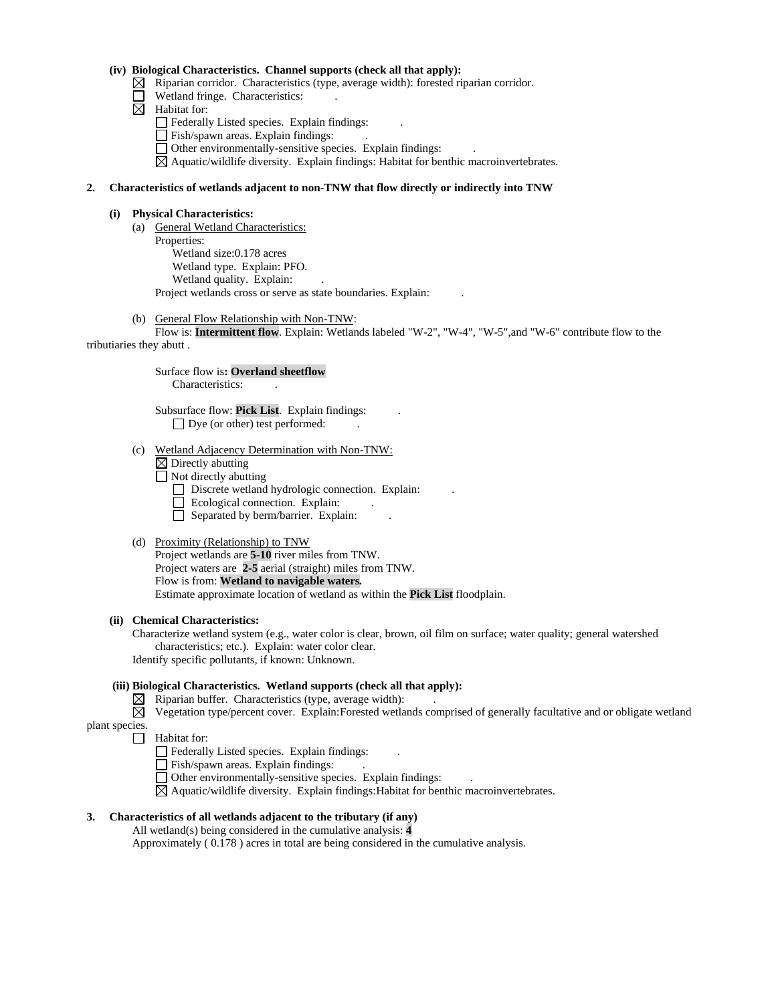# **(iv) Biological Characteristics. Channel supports (check all that apply):**

- $\boxtimes$  Riparian corridor. Characteristics (type, average width): forested riparian corridor.
- Wetland fringe. Characteristics:
- $\boxtimes$  Habitat for:
	- Federally Listed species. Explain findings: .
	- Fish/spawn areas. Explain findings:
	- Other environmentally-sensitive species. Explain findings: .
	- $\boxtimes$  Aquatic/wildlife diversity. Explain findings: Habitat for benthic macroinvertebrates.

## **2. Characteristics of wetlands adjacent to non-TNW that flow directly or indirectly into TNW**

#### **(i) Physical Characteristics:**

- (a) General Wetland Characteristics: Properties: Wetland size:0.178 acres Wetland type. Explain: PFO. Wetland quality. Explain: Project wetlands cross or serve as state boundaries. Explain: .
- (b) General Flow Relationship with Non-TNW:

Flow is: **Intermittent flow**. Explain: Wetlands labeled "W-2", "W-4", "W-5",and "W-6" contribute flow to the tributiaries they abutt .

> Surface flow is**: Overland sheetflow**  Characteristics: .

Subsurface flow: **Pick List**. Explain findings: . □ Dye (or other) test performed:

(c) Wetland Adjacency Determination with Non-TNW:

- $\boxtimes$  Directly abutting
- $\Box$  Not directly abutting
	- Discrete wetland hydrologic connection. Explain:
	- Ecological connection. Explain:
	- $\Box$  Separated by berm/barrier. Explain:
- (d) Proximity (Relationship) to TNW

Project wetlands are **5-10** river miles from TNW. Project waters are **2-5** aerial (straight) miles from TNW. Flow is from: **Wetland to navigable waters.** Estimate approximate location of wetland as within the **Pick List** floodplain.

#### **(ii) Chemical Characteristics:**

Characterize wetland system (e.g., water color is clear, brown, oil film on surface; water quality; general watershed characteristics; etc.). Explain: water color clear. Identify specific pollutants, if known: Unknown.

**(iii) Biological Characteristics. Wetland supports (check all that apply):**

 $\boxtimes$  Riparian buffer. Characteristics (type, average width):

 $\boxtimes$  Vegetation type/percent cover. Explain: Forested wetlands comprised of generally facultative and or obligate wetland

- plant species.  $\Box$  Habitat for:
	- Federally Listed species. Explain findings: .
	- Fish/spawn areas. Explain findings: .
	- Other environmentally-sensitive species. Explain findings: .
	- $\boxtimes$  Aquatic/wildlife diversity. Explain findings: Habitat for benthic macroinvertebrates.

# **3. Characteristics of all wetlands adjacent to the tributary (if any)**

All wetland(s) being considered in the cumulative analysis: **4**

Approximately ( 0.178 ) acres in total are being considered in the cumulative analysis.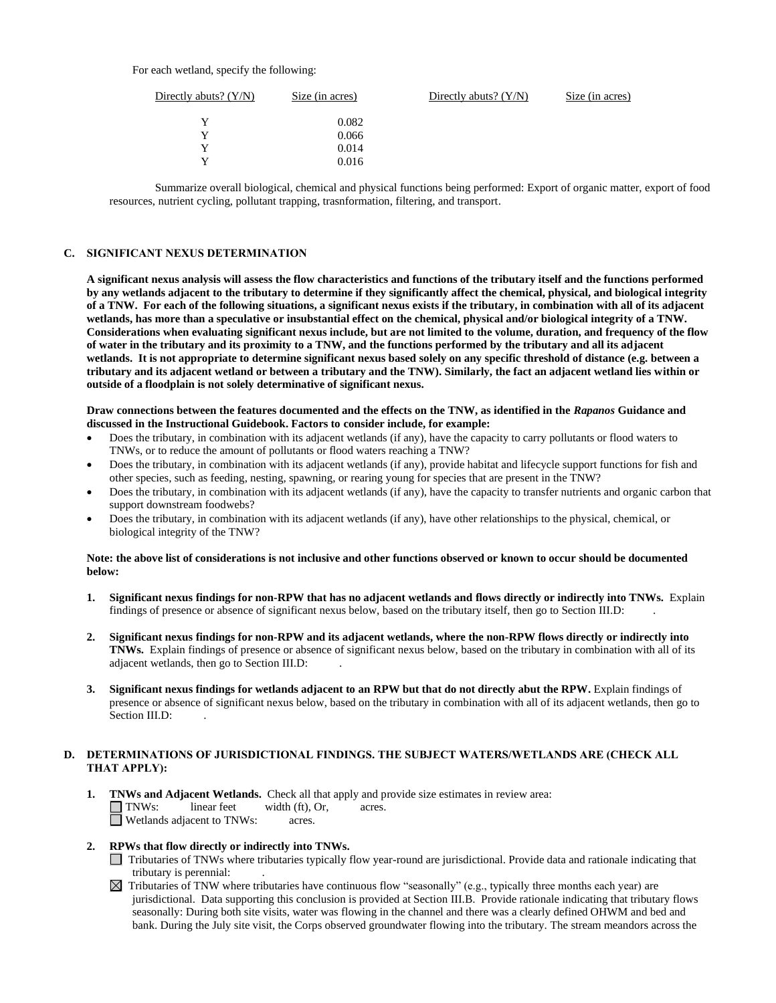## For each wetland, specify the following:

| Directly abuts? $(Y/N)$ | Size (in acres) | Directly abuts? $(Y/N)$ | Size (in acres) |
|-------------------------|-----------------|-------------------------|-----------------|
| v                       | 0.082           |                         |                 |
| v                       | 0.066           |                         |                 |
| v                       | 0.014           |                         |                 |
| v                       | 0.016           |                         |                 |
|                         |                 |                         |                 |

Summarize overall biological, chemical and physical functions being performed: Export of organic matter, export of food resources, nutrient cycling, pollutant trapping, trasnformation, filtering, and transport.

### **C. SIGNIFICANT NEXUS DETERMINATION**

**A significant nexus analysis will assess the flow characteristics and functions of the tributary itself and the functions performed by any wetlands adjacent to the tributary to determine if they significantly affect the chemical, physical, and biological integrity of a TNW. For each of the following situations, a significant nexus exists if the tributary, in combination with all of its adjacent wetlands, has more than a speculative or insubstantial effect on the chemical, physical and/or biological integrity of a TNW. Considerations when evaluating significant nexus include, but are not limited to the volume, duration, and frequency of the flow of water in the tributary and its proximity to a TNW, and the functions performed by the tributary and all its adjacent wetlands. It is not appropriate to determine significant nexus based solely on any specific threshold of distance (e.g. between a tributary and its adjacent wetland or between a tributary and the TNW). Similarly, the fact an adjacent wetland lies within or outside of a floodplain is not solely determinative of significant nexus.** 

#### **Draw connections between the features documented and the effects on the TNW, as identified in the** *Rapanos* **Guidance and discussed in the Instructional Guidebook. Factors to consider include, for example:**

- Does the tributary, in combination with its adjacent wetlands (if any), have the capacity to carry pollutants or flood waters to TNWs, or to reduce the amount of pollutants or flood waters reaching a TNW?
- Does the tributary, in combination with its adjacent wetlands (if any), provide habitat and lifecycle support functions for fish and other species, such as feeding, nesting, spawning, or rearing young for species that are present in the TNW?
- Does the tributary, in combination with its adjacent wetlands (if any), have the capacity to transfer nutrients and organic carbon that support downstream foodwebs?
- Does the tributary, in combination with its adjacent wetlands (if any), have other relationships to the physical, chemical, or biological integrity of the TNW?

#### **Note: the above list of considerations is not inclusive and other functions observed or known to occur should be documented below:**

- **1. Significant nexus findings for non-RPW that has no adjacent wetlands and flows directly or indirectly into TNWs.** Explain findings of presence or absence of significant nexus below, based on the tributary itself, then go to Section III.D: .
- **2. Significant nexus findings for non-RPW and its adjacent wetlands, where the non-RPW flows directly or indirectly into TNWs.** Explain findings of presence or absence of significant nexus below, based on the tributary in combination with all of its adjacent wetlands, then go to Section III.D: .
- **3. Significant nexus findings for wetlands adjacent to an RPW but that do not directly abut the RPW.** Explain findings of presence or absence of significant nexus below, based on the tributary in combination with all of its adjacent wetlands, then go to Section III.D:

## **D. DETERMINATIONS OF JURISDICTIONAL FINDINGS. THE SUBJECT WATERS/WETLANDS ARE (CHECK ALL THAT APPLY):**

- **1. TNWs and Adjacent Wetlands.** Check all that apply and provide size estimates in review area:<br>
TNWs: linear feet width (ft). Or. acres.  $linear feet \t width (ft), Or, \t acres.$ Wetlands adjacent to TNWs: acres.
- **2. RPWs that flow directly or indirectly into TNWs.**
	- Tributaries of TNWs where tributaries typically flow year-round are jurisdictional. Provide data and rationale indicating that tributary is perennial: .
	- $\boxtimes$  Tributaries of TNW where tributaries have continuous flow "seasonally" (e.g., typically three months each year) are jurisdictional. Data supporting this conclusion is provided at Section III.B. Provide rationale indicating that tributary flows seasonally: During both site visits, water was flowing in the channel and there was a clearly defined OHWM and bed and bank. During the July site visit, the Corps observed groundwater flowing into the tributary. The stream meandors across the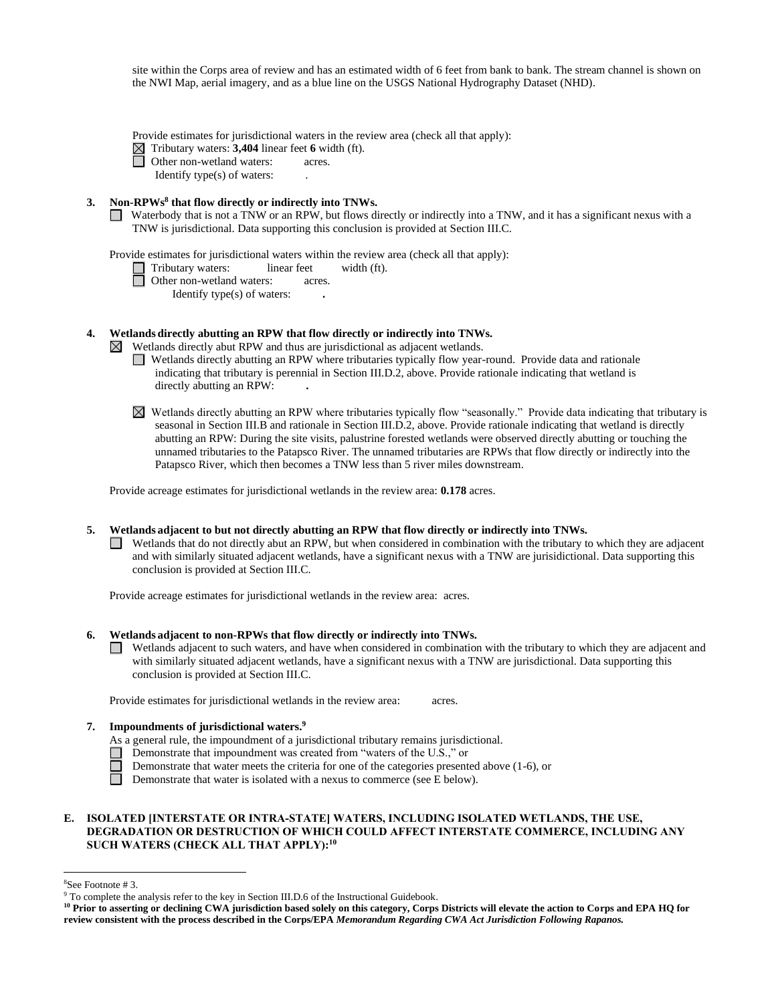site within the Corps area of review and has an estimated width of 6 feet from bank to bank. The stream channel is shown on the NWI Map, aerial imagery, and as a blue line on the USGS National Hydrography Dataset (NHD).

- Provide estimates for jurisdictional waters in the review area (check all that apply):
- $\Box$  Tributary waters: **3,404** linear feet **6** width (ft).<br>
Other non-wetland waters: acres.
	- Other non-wetland waters: acres.
	- Identify type(s) of waters: .

### **3. Non-RPWs<sup>8</sup> that flow directly or indirectly into TNWs.**

Waterbody that is not a TNW or an RPW, but flows directly or indirectly into a TNW, and it has a significant nexus with a TNW is jurisdictional. Data supporting this conclusion is provided at Section III.C.

Provide estimates for jurisdictional waters within the review area (check all that apply):

 Tributary waters: linear feet width (ft). □ Other non-wetland waters: acres.

Identify type(s) of waters: **.**

**4. Wetlands directly abutting an RPW that flow directly or indirectly into TNWs.** 

- $\boxtimes$  Wetlands directly abut RPW and thus are jurisdictional as adjacent wetlands.
	- Wetlands directly abutting an RPW where tributaries typically flow year-round. Provide data and rationale indicating that tributary is perennial in Section III.D.2, above. Provide rationale indicating that wetland is directly abutting an RPW: **.**
	- Wetlands directly abutting an RPW where tributaries typically flow "seasonally." Provide data indicating that tributary is seasonal in Section III.B and rationale in Section III.D.2, above. Provide rationale indicating that wetland is directly abutting an RPW: During the site visits, palustrine forested wetlands were observed directly abutting or touching the unnamed tributaries to the Patapsco River. The unnamed tributaries are RPWs that flow directly or indirectly into the Patapsco River, which then becomes a TNW less than 5 river miles downstream.

Provide acreage estimates for jurisdictional wetlands in the review area: **0.178** acres.

### **5. Wetlands adjacent to but not directly abutting an RPW that flow directly or indirectly into TNWs.**

Wetlands that do not directly abut an RPW, but when considered in combination with the tributary to which they are adjacent and with similarly situated adjacent wetlands, have a significant nexus with a TNW are jurisidictional. Data supporting this conclusion is provided at Section III.C.

Provide acreage estimates for jurisdictional wetlands in the review area: acres.

#### **6. Wetlands adjacent to non-RPWs that flow directly or indirectly into TNWs.**

Wetlands adjacent to such waters, and have when considered in combination with the tributary to which they are adjacent and with similarly situated adjacent wetlands, have a significant nexus with a TNW are jurisdictional. Data supporting this conclusion is provided at Section III.C.

Provide estimates for jurisdictional wetlands in the review area: acres.

#### **7. Impoundments of jurisdictional waters. 9**

- As a general rule, the impoundment of a jurisdictional tributary remains jurisdictional.
- Demonstrate that impoundment was created from "waters of the U.S.," or
	- Demonstrate that water meets the criteria for one of the categories presented above (1-6), or
- $\Box$ Demonstrate that water is isolated with a nexus to commerce (see E below).

## **E. ISOLATED [INTERSTATE OR INTRA-STATE] WATERS, INCLUDING ISOLATED WETLANDS, THE USE, DEGRADATION OR DESTRUCTION OF WHICH COULD AFFECT INTERSTATE COMMERCE, INCLUDING ANY SUCH WATERS (CHECK ALL THAT APPLY):<sup>10</sup>**

<sup>8</sup>See Footnote # 3.

<sup>&</sup>lt;sup>9</sup> To complete the analysis refer to the key in Section III.D.6 of the Instructional Guidebook.

**<sup>10</sup> Prior to asserting or declining CWA jurisdiction based solely on this category, Corps Districts will elevate the action to Corps and EPA HQ for review consistent with the process described in the Corps/EPA** *Memorandum Regarding CWA Act Jurisdiction Following Rapanos.*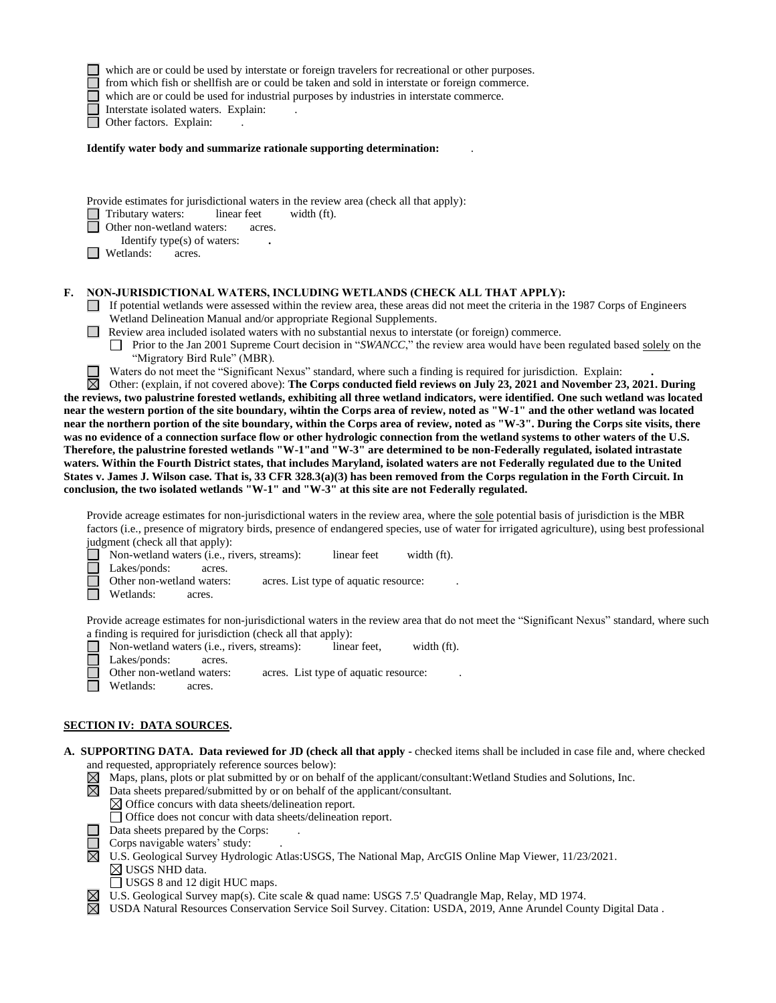|    | which are or could be used by interstate or foreign travelers for recreational or other purposes.<br>from which fish or shellfish are or could be taken and sold in interstate or foreign commerce.<br>which are or could be used for industrial purposes by industries in interstate commerce.<br>Interstate isolated waters. Explain:<br>Other factors. Explain:                                                                                                                                                                                                                                                                                                                                                                                                                                                                                                                                                                                                                                                                                                                                                                                                                               |
|----|--------------------------------------------------------------------------------------------------------------------------------------------------------------------------------------------------------------------------------------------------------------------------------------------------------------------------------------------------------------------------------------------------------------------------------------------------------------------------------------------------------------------------------------------------------------------------------------------------------------------------------------------------------------------------------------------------------------------------------------------------------------------------------------------------------------------------------------------------------------------------------------------------------------------------------------------------------------------------------------------------------------------------------------------------------------------------------------------------------------------------------------------------------------------------------------------------|
|    | Identify water body and summarize rationale supporting determination:                                                                                                                                                                                                                                                                                                                                                                                                                                                                                                                                                                                                                                                                                                                                                                                                                                                                                                                                                                                                                                                                                                                            |
|    | Provide estimates for jurisdictional waters in the review area (check all that apply):<br>Tributary waters:<br>linear feet<br>width (ft).<br>Other non-wetland waters:<br>acres.<br>Identify type(s) of waters:<br>Wetlands:<br>acres.                                                                                                                                                                                                                                                                                                                                                                                                                                                                                                                                                                                                                                                                                                                                                                                                                                                                                                                                                           |
| F. | NON-JURISDICTIONAL WATERS, INCLUDING WETLANDS (CHECK ALL THAT APPLY):<br>If potential wetlands were assessed within the review area, these areas did not meet the criteria in the 1987 Corps of Engineers<br>Wetland Delineation Manual and/or appropriate Regional Supplements.<br>Review area included isolated waters with no substantial nexus to interstate (or foreign) commerce.<br>Prior to the Jan 2001 Supreme Court decision in "SWANCC," the review area would have been regulated based solely on the<br>"Migratory Bird Rule" (MBR).<br>Waters do not meet the "Significant Nexus" standard, where such a finding is required for jurisdiction. Explain:                                                                                                                                                                                                                                                                                                                                                                                                                                                                                                                           |
|    | ⊠<br>Other: (explain, if not covered above): The Corps conducted field reviews on July 23, 2021 and November 23, 2021. During<br>the reviews, two palustrine forested wetlands, exhibiting all three wetland indicators, were identified. One such wetland was located<br>near the western portion of the site boundary, wihtin the Corps area of review, noted as "W-1" and the other wetland was located<br>near the northern portion of the site boundary, within the Corps area of review, noted as "W-3". During the Corps site visits, there<br>was no evidence of a connection surface flow or other hydrologic connection from the wetland systems to other waters of the U.S.<br>Therefore, the palustrine forested wetlands "W-1"and "W-3" are determined to be non-Federally regulated, isolated intrastate<br>waters. Within the Fourth District states, that includes Maryland, isolated waters are not Federally regulated due to the United<br>States v. James J. Wilson case. That is, 33 CFR 328.3(a)(3) has been removed from the Corps regulation in the Forth Circuit. In<br>conclusion, the two isolated wetlands "W-1" and "W-3" at this site are not Federally regulated. |
|    | Provide acreage estimates for non-jurisdictional waters in the review area, where the sole potential basis of jurisdiction is the MBR<br>factors (i.e., presence of migratory birds, presence of endangered species, use of water for irrigated agriculture), using best professional<br>judgment (check all that apply):                                                                                                                                                                                                                                                                                                                                                                                                                                                                                                                                                                                                                                                                                                                                                                                                                                                                        |
|    | Non-wetland waters (i.e., rivers, streams):<br>width (ft).<br>linear feet<br>Lakes/ponds:<br>acres.<br>Other non-wetland waters:<br>acres. List type of aquatic resource:<br>Wetlands:<br>acres.                                                                                                                                                                                                                                                                                                                                                                                                                                                                                                                                                                                                                                                                                                                                                                                                                                                                                                                                                                                                 |
|    | Provide acreage estimates for non-jurisdictional waters in the review area that do not meet the "Significant Nexus" standard, where such<br>a finding is required for jurisdiction (check all that apply):<br>Non-wetland waters (i.e., rivers, streams):<br>width (ft).<br>linear feet.<br>Lakes/ponds:<br>acres.<br>Other non-wetland waters:<br>acres. List type of aquatic resource:<br>Wetlands:<br>acres.                                                                                                                                                                                                                                                                                                                                                                                                                                                                                                                                                                                                                                                                                                                                                                                  |
|    | <b>SECTION IV: DATA SOURCES.</b>                                                                                                                                                                                                                                                                                                                                                                                                                                                                                                                                                                                                                                                                                                                                                                                                                                                                                                                                                                                                                                                                                                                                                                 |
|    | A. SUPPORTING DATA. Data reviewed for JD (check all that apply - checked items shall be included in case file and, where checked<br>and requested, appropriately reference sources below):<br>Maps, plans, plots or plat submitted by or on behalf of the applicant/consultant: Wetland Studies and Solutions, Inc.<br>$\boxtimes$<br>$\boxtimes$ Data sheets prepared/submitted by or on behalf of the applicant/consultant.<br>$\boxtimes$ Office concurs with data sheets/delineation report.<br>□ Office does not concur with data sheets/delineation report.<br>Data sheets prepared by the Corps:<br>Corps navigable waters' study:<br>U.S. Geological Survey Hydrologic Atlas: USGS, The National Map, ArcGIS Online Map Viewer, 11/23/2021.<br>$\boxtimes$ USGS NHD data.                                                                                                                                                                                                                                                                                                                                                                                                                |

- USGS 8 and 12 digit HUC maps.
- U.S. Geological Survey map(s). Cite scale & quad name: USGS 7.5' Quadrangle Map, Relay, MD 1974.
- USDA Natural Resources Conservation Service Soil Survey. Citation: USDA, 2019, Anne Arundel County Digital Data .